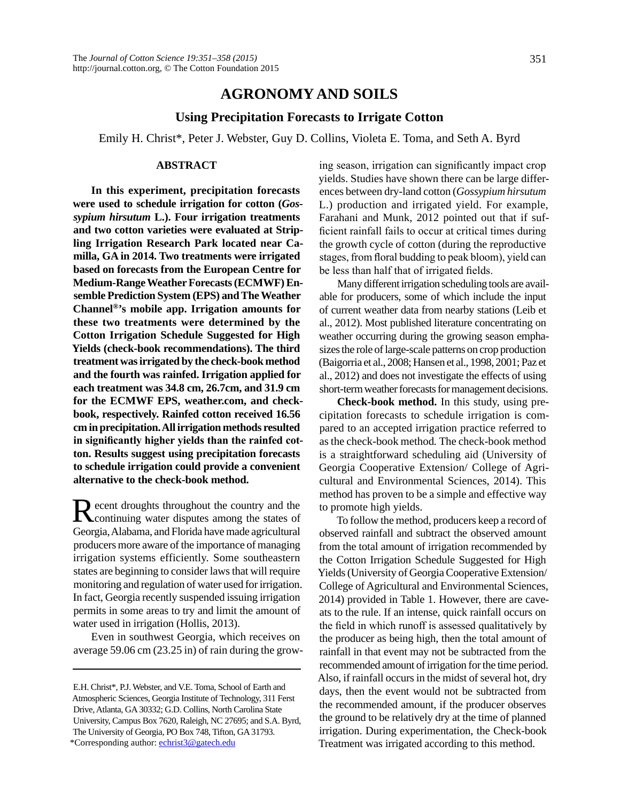# **AGRONOMY AND SOILS**

## **Using Precipitation Forecasts to Irrigate Cotton**

Emily H. Christ\*, Peter J. Webster, Guy D. Collins, Violeta E. Toma, and Seth A. Byrd

#### **ABSTRACT**

**In this experiment, precipitation forecasts were used to schedule irrigation for cotton (***Gossypium hirsutum* **L.). Four irrigation treatments and two cotton varieties were evaluated at Stripling Irrigation Research Park located near Camilla, GA in 2014. Two treatments were irrigated based on forecasts from the European Centre for Medium-Range Weather Forecasts (ECMWF) Ensemble Prediction System (EPS) and The Weather Channel®'s mobile app. Irrigation amounts for these two treatments were determined by the Cotton Irrigation Schedule Suggested for High Yields (check-book recommendations). The third treatment was irrigated by the check-book method and the fourth was rainfed. Irrigation applied for each treatment was 34.8 cm, 26.7cm, and 31.9 cm for the ECMWF EPS, weather.com, and checkbook, respectively. Rainfed cotton received 16.56 cm in precipitation. All irrigation methods resulted in significantly higher yields than the rainfed cotton. Results suggest using precipitation forecasts to schedule irrigation could provide a convenient alternative to the check-book method.**

Recent droughts throughout the country and the continuing water disputes among the states of Georgia, Alabama, and Florida have made agricultural producers more aware of the importance of managing irrigation systems efficiently. Some southeastern states are beginning to consider laws that will require monitoring and regulation of water used for irrigation. In fact, Georgia recently suspended issuing irrigation permits in some areas to try and limit the amount of water used in irrigation (Hollis, 2013).

Even in southwest Georgia, which receives on average 59.06 cm (23.25 in) of rain during the growing season, irrigation can significantly impact crop yields. Studies have shown there can be large differences between dry-land cotton (*Gossypium hirsutum* L.) production and irrigated yield. For example, Farahani and Munk, 2012 pointed out that if sufficient rainfall fails to occur at critical times during the growth cycle of cotton (during the reproductive stages, from floral budding to peak bloom), yield can be less than half that of irrigated fields.

Many different irrigation scheduling tools are available for producers, some of which include the input of current weather data from nearby stations (Leib et al., 2012). Most published literature concentrating on weather occurring during the growing season emphasizes the role of large-scale patterns on crop production (Baigorria et al., 2008; Hansen et al., 1998, 2001; Paz et al., 2012) and does not investigate the effects of using short-term weather forecasts for management decisions.

**Check-book method.** In this study, using precipitation forecasts to schedule irrigation is compared to an accepted irrigation practice referred to as the check-book method*.* The check-book method is a straightforward scheduling aid (University of Georgia Cooperative Extension/ College of Agricultural and Environmental Sciences, 2014). This method has proven to be a simple and effective way to promote high yields.

To follow the method, producers keep a record of observed rainfall and subtract the observed amount from the total amount of irrigation recommended by the Cotton Irrigation Schedule Suggested for High Yields (University of Georgia Cooperative Extension/ College of Agricultural and Environmental Sciences, 2014) provided in Table 1. However, there are caveats to the rule. If an intense, quick rainfall occurs on the field in which runoff is assessed qualitatively by the producer as being high, then the total amount of rainfall in that event may not be subtracted from the recommended amount of irrigation for the time period. Also, if rainfall occurs in the midst of several hot, dry days, then the event would not be subtracted from the recommended amount, if the producer observes the ground to be relatively dry at the time of planned irrigation. During experimentation, the Check-book Treatment was irrigated according to this method.

E.H. Christ\*, P.J. Webster, and V.E. Toma, School of Earth and Atmospheric Sciences, Georgia Institute of Technology, 311 Ferst Drive, Atlanta, GA 30332; G.D. Collins, North Carolina State University, Campus Box 7620, Raleigh, NC 27695; and S.A. Byrd, The University of Georgia, PO Box 748, Tifton, GA 31793. \*Corresponding author: [echrist3@gatech.edu](mailto:echrist3@gatech.edu)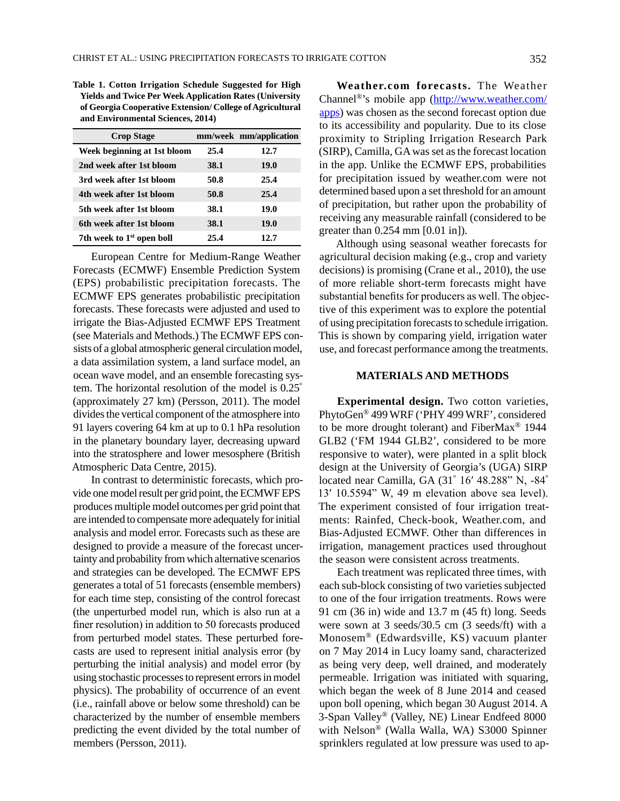**Table 1. Cotton Irrigation Schedule Suggested for High Yields and Twice Per Week Application Rates (University of Georgia Cooperative Extension/ College of Agricultural and Environmental Sciences, 2014)**

| <b>Crop Stage</b>                     |      | mm/week mm/application |
|---------------------------------------|------|------------------------|
| Week beginning at 1st bloom           | 25.4 | 12.7                   |
| 2nd week after 1st bloom              | 38.1 | 19.0                   |
| 3rd week after 1st bloom              | 50.8 | 25.4                   |
| 4th week after 1st bloom              | 50.8 | 25.4                   |
| 5th week after 1st bloom              | 38.1 | 19.0                   |
| 6th week after 1st bloom              | 38.1 | 19.0                   |
| 7th week to 1 <sup>st</sup> open boll | 25.4 | 12.7                   |

European Centre for Medium-Range Weather Forecasts (ECMWF) Ensemble Prediction System (EPS) probabilistic precipitation forecasts. The ECMWF EPS generates probabilistic precipitation forecasts. These forecasts were adjusted and used to irrigate the Bias-Adjusted ECMWF EPS Treatment (see Materials and Methods.) The ECMWF EPS consists of a global atmospheric general circulation model, a data assimilation system, a land surface model, an ocean wave model, and an ensemble forecasting system. The horizontal resolution of the model is 0.25° (approximately 27 km) (Persson, 2011). The model divides the vertical component of the atmosphere into 91 layers covering 64 km at up to 0.1 hPa resolution in the planetary boundary layer, decreasing upward into the stratosphere and lower mesosphere (British Atmospheric Data Centre, 2015).

In contrast to deterministic forecasts, which provide one model result per grid point, the ECMWF EPS produces multiple model outcomes per grid point that are intended to compensate more adequately for initial analysis and model error. Forecasts such as these are designed to provide a measure of the forecast uncertainty and probability from which alternative scenarios and strategies can be developed. The ECMWF EPS generates a total of 51 forecasts (ensemble members) for each time step, consisting of the control forecast (the unperturbed model run, which is also run at a finer resolution) in addition to 50 forecasts produced from perturbed model states. These perturbed forecasts are used to represent initial analysis error (by perturbing the initial analysis) and model error (by using stochastic processes to represent errors in model physics). The probability of occurrence of an event (i.e., rainfall above or below some threshold) can be characterized by the number of ensemble members predicting the event divided by the total number of members (Persson, 2011).

**Weather.com forecasts.** The Weather Channel®'s mobile app [\(http://www.weather.com/](http://www.weather.com/apps) [apps\)](http://www.weather.com/apps) was chosen as the second forecast option due to its accessibility and popularity. Due to its close proximity to Stripling Irrigation Research Park (SIRP), Camilla, GA was set as the forecast location in the app. Unlike the ECMWF EPS, probabilities for precipitation issued by weather.com were not determined based upon a set threshold for an amount of precipitation, but rather upon the probability of receiving any measurable rainfall (considered to be greater than 0.254 mm [0.01 in]).

Although using seasonal weather forecasts for agricultural decision making (e.g., crop and variety decisions) is promising (Crane et al., 2010), the use of more reliable short-term forecasts might have substantial benefits for producers as well. The objective of this experiment was to explore the potential of using precipitation forecasts to schedule irrigation. This is shown by comparing yield, irrigation water use, and forecast performance among the treatments.

### **MATERIALS AND METHODS**

**Experimental design.** Two cotton varieties, PhytoGen® 499 WRF ('PHY 499 WRF', considered to be more drought tolerant) and FiberMax® 1944 GLB2 ('FM 1944 GLB2', considered to be more responsive to water), were planted in a split block design at the University of Georgia's (UGA) SIRP located near Camilla, GA (31° 16′ 48.288" N, -84° 13′ 10.5594" W, 49 m elevation above sea level). The experiment consisted of four irrigation treatments: Rainfed, Check-book, Weather.com, and Bias-Adjusted ECMWF. Other than differences in irrigation, management practices used throughout the season were consistent across treatments.

Each treatment was replicated three times, with each sub-block consisting of two varieties subjected to one of the four irrigation treatments. Rows were 91 cm (36 in) wide and 13.7 m (45 ft) long. Seeds were sown at 3 seeds/30.5 cm (3 seeds/ft) with a Monosem® (Edwardsville, KS) vacuum planter on 7 May 2014 in Lucy loamy sand, characterized as being very deep, well drained, and moderately permeable. Irrigation was initiated with squaring, which began the week of 8 June 2014 and ceased upon boll opening, which began 30 August 2014. A 3-Span Valley® (Valley, NE) Linear Endfeed 8000 with Nelson® (Walla Walla, WA) S3000 Spinner sprinklers regulated at low pressure was used to ap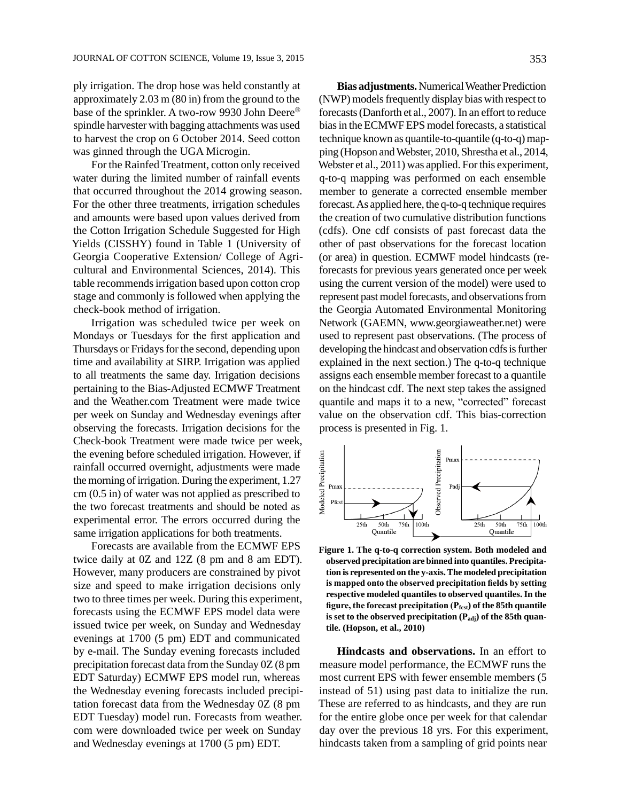ply irrigation. The drop hose was held constantly at approximately 2.03 m (80 in) from the ground to the base of the sprinkler. A two-row 9930 John Deere® spindle harvester with bagging attachments was used to harvest the crop on 6 October 2014. Seed cotton was ginned through the UGA Microgin.

For the Rainfed Treatment, cotton only received water during the limited number of rainfall events that occurred throughout the 2014 growing season. For the other three treatments, irrigation schedules and amounts were based upon values derived from the Cotton Irrigation Schedule Suggested for High Yields (CISSHY) found in Table 1 (University of Georgia Cooperative Extension/ College of Agricultural and Environmental Sciences, 2014). This table recommends irrigation based upon cotton crop stage and commonly is followed when applying the check-book method of irrigation.

Irrigation was scheduled twice per week on Mondays or Tuesdays for the first application and Thursdays or Fridays for the second, depending upon time and availability at SIRP. Irrigation was applied to all treatments the same day. Irrigation decisions pertaining to the Bias-Adjusted ECMWF Treatment and the Weather.com Treatment were made twice per week on Sunday and Wednesday evenings after observing the forecasts. Irrigation decisions for the Check-book Treatment were made twice per week, the evening before scheduled irrigation. However, if rainfall occurred overnight, adjustments were made the morning of irrigation. During the experiment, 1.27 cm (0.5 in) of water was not applied as prescribed to the two forecast treatments and should be noted as experimental error. The errors occurred during the same irrigation applications for both treatments.

Forecasts are available from the ECMWF EPS twice daily at 0Z and 12Z (8 pm and 8 am EDT). However, many producers are constrained by pivot size and speed to make irrigation decisions only two to three times per week. During this experiment, forecasts using the ECMWF EPS model data were issued twice per week, on Sunday and Wednesday evenings at 1700 (5 pm) EDT and communicated by e-mail. The Sunday evening forecasts included precipitation forecast data from the Sunday 0Z (8 pm EDT Saturday) ECMWF EPS model run, whereas the Wednesday evening forecasts included precipitation forecast data from the Wednesday 0Z (8 pm EDT Tuesday) model run. Forecasts from weather. com were downloaded twice per week on Sunday and Wednesday evenings at 1700 (5 pm) EDT.

**Bias adjustments.** Numerical Weather Prediction (NWP) models frequently display bias with respect to forecasts (Danforth et al., 2007). In an effort to reduce bias in the ECMWF EPS model forecasts, a statistical technique known as quantile-to-quantile (q-to-q) mapping (Hopson and Webster, 2010, Shrestha et al., 2014, Webster et al., 2011) was applied. For this experiment, q-to-q mapping was performed on each ensemble member to generate a corrected ensemble member forecast. As applied here, the q-to-q technique requires the creation of two cumulative distribution functions (cdfs). One cdf consists of past forecast data the other of past observations for the forecast location (or area) in question. ECMWF model hindcasts (reforecasts for previous years generated once per week using the current version of the model) were used to represent past model forecasts, and observations from the Georgia Automated Environmental Monitoring Network (GAEMN, www.georgiaweather.net) were used to represent past observations. (The process of developing the hindcast and observation cdfs is further explained in the next section.) The q-to-q technique assigns each ensemble member forecast to a quantile on the hindcast cdf. The next step takes the assigned quantile and maps it to a new, "corrected" forecast value on the observation cdf. This bias-correction process is presented in Fig. 1.



**Figure 1. The q-to-q correction system. Both modeled and observed precipitation are binned into quantiles. Precipitation is represented on the y-axis. The modeled precipitation is mapped onto the observed precipitation fields by setting respective modeled quantiles to observed quantiles. In the**  figure, the forecast precipitation (P<sub>fcst</sub>) of the 85th quantile is set to the observed precipitation (P<sub>adj</sub>) of the 85th quan**tile. (Hopson, et al., 2010)**

**Hindcasts and observations.** In an effort to measure model performance, the ECMWF runs the most current EPS with fewer ensemble members (5 instead of 51) using past data to initialize the run. These are referred to as hindcasts, and they are run for the entire globe once per week for that calendar day over the previous 18 yrs. For this experiment, hindcasts taken from a sampling of grid points near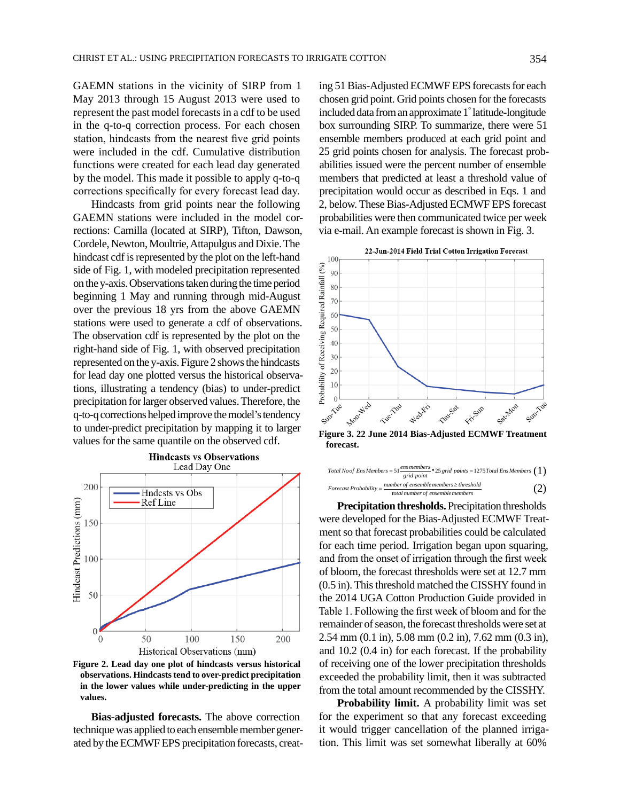GAEMN stations in the vicinity of SIRP from 1 May 2013 through 15 August 2013 were used to represent the past model forecasts in a cdf to be used in the q-to-q correction process. For each chosen station, hindcasts from the nearest five grid points were included in the cdf. Cumulative distribution functions were created for each lead day generated by the model. This made it possible to apply q-to-q corrections specifically for every forecast lead day.

Hindcasts from grid points near the following GAEMN stations were included in the model corrections: Camilla (located at SIRP), Tifton, Dawson, Cordele, Newton, Moultrie, Attapulgus and Dixie. The hindcast cdf is represented by the plot on the left-hand side of Fig. 1, with modeled precipitation represented on the y-axis. Observations taken during the time period beginning 1 May and running through mid-August over the previous 18 yrs from the above GAEMN stations were used to generate a cdf of observations. The observation cdf is represented by the plot on the right-hand side of Fig. 1, with observed precipitation represented on the y-axis. Figure 2 shows the hindcasts for lead day one plotted versus the historical observations, illustrating a tendency (bias) to under-predict precipitation for larger observed values. Therefore, the q-to-q corrections helped improve the model's tendency to under-predict precipitation by mapping it to larger values for the same quantile on the observed cdf.



**Figure 2. Lead day one plot of hindcasts versus historical observations. Hindcasts tend to over-predict precipitation in the lower values while under-predicting in the upper values.**

**Bias-adjusted forecasts.** The above correction technique was applied to each ensemble member generated by the ECMWF EPS precipitation forecasts, creating 51 Bias-Adjusted ECMWF EPS forecasts for each chosen grid point. Grid points chosen for the forecasts included data from an approximate 1° latitude-longitude box surrounding SIRP. To summarize, there were 51 ensemble members produced at each grid point and 25 grid points chosen for analysis. The forecast probabilities issued were the percent number of ensemble members that predicted at least a threshold value of precipitation would occur as described in Eqs. 1 and 2, below. These Bias-Adjusted ECMWF EPS forecast probabilities were then communicated twice per week via e-mail. An example forecast is shown in Fig. 3.



**Figure 3. 22 June 2014 Bias-Adjusted ECMWF Treatment forecast.**

Total No of Ens Members = 
$$
51 \frac{ens members}{grid points} * 25 grid points = 1275 Total Ens Members (1)
$$
  
\nForecast Probability =  $\frac{number of ensemble members \ge threshold}{total number of ensemble members}$  (2)

**Precipitation thresholds.** Precipitation thresholds were developed for the Bias-Adjusted ECMWF Treatment so that forecast probabilities could be calculated for each time period. Irrigation began upon squaring, and from the onset of irrigation through the first week of bloom, the forecast thresholds were set at 12.7 mm (0.5 in). This threshold matched the CISSHY found in the 2014 UGA Cotton Production Guide provided in Table 1. Following the first week of bloom and for the remainder of season, the forecast thresholds were set at 2.54 mm (0.1 in), 5.08 mm (0.2 in), 7.62 mm (0.3 in), and 10.2 (0.4 in) for each forecast. If the probability of receiving one of the lower precipitation thresholds exceeded the probability limit, then it was subtracted from the total amount recommended by the CISSHY.

**Probability limit.** A probability limit was set for the experiment so that any forecast exceeding it would trigger cancellation of the planned irrigation. This limit was set somewhat liberally at 60%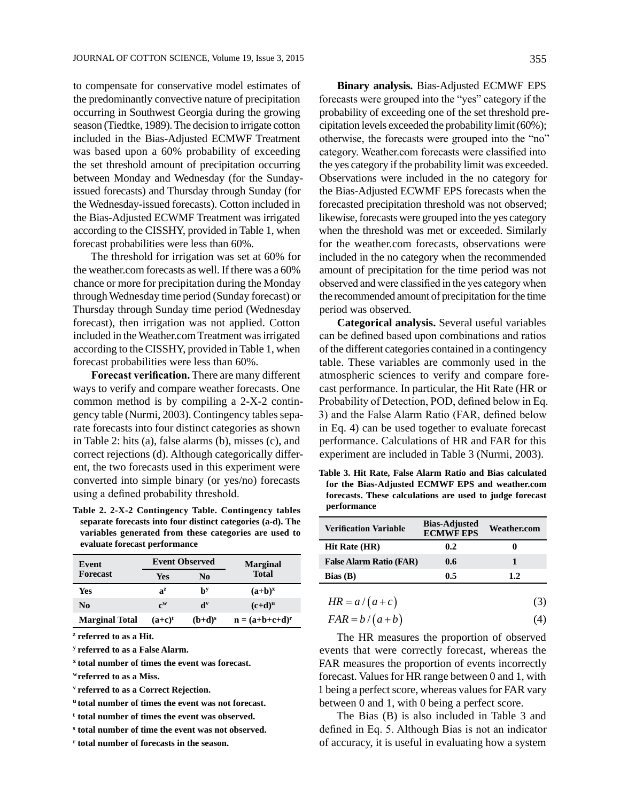to compensate for conservative model estimates of the predominantly convective nature of precipitation occurring in Southwest Georgia during the growing season (Tiedtke, 1989). The decision to irrigate cotton included in the Bias-Adjusted ECMWF Treatment was based upon a 60% probability of exceeding the set threshold amount of precipitation occurring between Monday and Wednesday (for the Sundayissued forecasts) and Thursday through Sunday (for the Wednesday-issued forecasts). Cotton included in the Bias-Adjusted ECWMF Treatment was irrigated according to the CISSHY, provided in Table 1, when forecast probabilities were less than 60%.

The threshold for irrigation was set at 60% for the weather.com forecasts as well. If there was a 60% chance or more for precipitation during the Monday through Wednesday time period (Sunday forecast) or Thursday through Sunday time period (Wednesday forecast), then irrigation was not applied. Cotton included in the Weather.com Treatment was irrigated according to the CISSHY, provided in Table 1, when forecast probabilities were less than 60%.

**Forecast verification.** There are many different ways to verify and compare weather forecasts. One common method is by compiling a 2-X-2 contingency table (Nurmi, 2003). Contingency tables separate forecasts into four distinct categories as shown in Table 2: hits (a), false alarms (b), misses (c), and correct rejections (d). Although categorically different, the two forecasts used in this experiment were converted into simple binary (or yes/no) forecasts using a defined probability threshold.

**Table 2. 2-X-2 Contingency Table. Contingency tables separate forecasts into four distinct categories (a-d). The variables generated from these categories are used to evaluate forecast performance** 

| Event                 | <b>Event Observed</b>     |                           | <b>Marginal</b>                                                                 |
|-----------------------|---------------------------|---------------------------|---------------------------------------------------------------------------------|
| <b>Forecast</b>       | Yes                       | N <sub>0</sub>            | <b>Total</b>                                                                    |
| Yes                   | $a^z$                     | bу                        | $(a+b)^x$                                                                       |
| No.                   | $\mathbf{c}^{\mathbf{w}}$ | $\mathbf{d}^{\mathbf{v}}$ | $(c+d)^u$                                                                       |
| <b>Marginal Total</b> | $(a+c)^t$                 | $(b+d)^s$                 | $\mathbf{n} = (\mathbf{a} + \mathbf{b} + \mathbf{c} + \mathbf{d})^{\mathbf{r}}$ |

**<sup>z</sup> referred to as a Hit.**

**<sup>y</sup> referred to as a False Alarm.**

**<sup>x</sup> total number of times the event was forecast.**

**wreferred to as a Miss.**

**<sup>v</sup> referred to as a Correct Rejection.**

**<sup>u</sup> total number of times the event was not forecast.**

**<sup>t</sup> total number of times the event was observed.**

**<sup>s</sup> total number of time the event was not observed.**

**r total number of forecasts in the season.**

**Binary analysis.** Bias-Adjusted ECMWF EPS forecasts were grouped into the "yes" category if the probability of exceeding one of the set threshold precipitation levels exceeded the probability limit (60%); otherwise, the forecasts were grouped into the "no" category. Weather.com forecasts were classified into the yes category if the probability limit was exceeded. Observations were included in the no category for the Bias-Adjusted ECWMF EPS forecasts when the forecasted precipitation threshold was not observed; likewise, forecasts were grouped into the yes category when the threshold was met or exceeded. Similarly for the weather.com forecasts, observations were included in the no category when the recommended amount of precipitation for the time period was not observed and were classified in the yes category when the recommended amount of precipitation for the time period was observed.

**Categorical analysis.** Several useful variables can be defined based upon combinations and ratios of the different categories contained in a contingency table. These variables are commonly used in the atmospheric sciences to verify and compare forecast performance. In particular, the Hit Rate (HR or Probability of Detection, POD, defined below in Eq. 3) and the False Alarm Ratio (FAR, defined below in Eq. 4) can be used together to evaluate forecast performance. Calculations of HR and FAR for this experiment are included in Table 3 (Nurmi, 2003).

**Table 3. Hit Rate, False Alarm Ratio and Bias calculated for the Bias-Adjusted ECMWF EPS and weather.com forecasts. These calculations are used to judge forecast performance** 

| <b>Verification Variable</b>   | <b>Bias-Adjusted</b><br><b>ECMWF EPS</b> | <b>Weather.com</b> |
|--------------------------------|------------------------------------------|--------------------|
| <b>Hit Rate (HR)</b>           | 0.2                                      |                    |
| <b>False Alarm Ratio (FAR)</b> | 0.6                                      |                    |
| <b>Bias</b> $(B)$              | 0.5                                      | 1.2                |

$$
HR = a/(a+c) \tag{3}
$$

$$
FAR = b/(a+b) \tag{4}
$$

The HR measures the proportion of observed events that were correctly forecast, whereas the FAR measures the proportion of events incorrectly forecast. Values for HR range between 0 and 1, with 1 being a perfect score, whereas values for FAR vary between 0 and 1, with 0 being a perfect score.

The Bias (B) is also included in Table 3 and defined in Eq. 5. Although Bias is not an indicator of accuracy, it is useful in evaluating how a system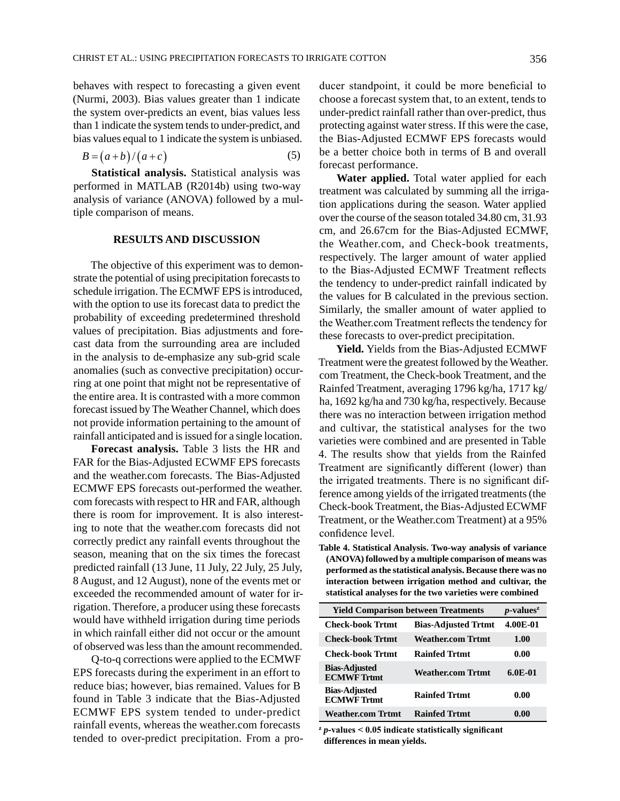behaves with respect to forecasting a given event (Nurmi, 2003). Bias values greater than 1 indicate the system over-predicts an event, bias values less than 1 indicate the system tends to under-predict, and bias values equal to 1 indicate the system is unbiased.

$$
B = (a+b)/(a+c)
$$
 (5)

**Statistical analysis.** Statistical analysis was performed in MATLAB (R2014b) using two-way analysis of variance (ANOVA) followed by a multiple comparison of means.

#### **RESULTS AND DISCUSSION**

The objective of this experiment was to demonstrate the potential of using precipitation forecasts to schedule irrigation. The ECMWF EPS is introduced, with the option to use its forecast data to predict the probability of exceeding predetermined threshold values of precipitation. Bias adjustments and forecast data from the surrounding area are included in the analysis to de-emphasize any sub-grid scale anomalies (such as convective precipitation) occurring at one point that might not be representative of the entire area. It is contrasted with a more common forecast issued by The Weather Channel, which does not provide information pertaining to the amount of rainfall anticipated and is issued for a single location.

**Forecast analysis.** Table 3 lists the HR and FAR for the Bias-Adjusted ECWMF EPS forecasts and the weather.com forecasts. The Bias-Adjusted ECMWF EPS forecasts out-performed the weather. com forecasts with respect to HR and FAR, although there is room for improvement. It is also interesting to note that the weather.com forecasts did not correctly predict any rainfall events throughout the season, meaning that on the six times the forecast predicted rainfall (13 June, 11 July, 22 July, 25 July, 8 August, and 12 August), none of the events met or exceeded the recommended amount of water for irrigation. Therefore, a producer using these forecasts would have withheld irrigation during time periods in which rainfall either did not occur or the amount of observed was less than the amount recommended.

Q-to-q corrections were applied to the ECMWF EPS forecasts during the experiment in an effort to reduce bias; however, bias remained. Values for B found in Table 3 indicate that the Bias-Adjusted ECMWF EPS system tended to under-predict rainfall events, whereas the weather.com forecasts tended to over-predict precipitation. From a producer standpoint, it could be more beneficial to choose a forecast system that, to an extent, tends to under-predict rainfall rather than over-predict, thus protecting against water stress. If this were the case, the Bias-Adjusted ECMWF EPS forecasts would be a better choice both in terms of B and overall forecast performance.

**Water applied.** Total water applied for each treatment was calculated by summing all the irrigation applications during the season. Water applied over the course of the season totaled 34.80 cm, 31.93 cm, and 26.67cm for the Bias-Adjusted ECMWF, the Weather.com, and Check-book treatments, respectively. The larger amount of water applied to the Bias-Adjusted ECMWF Treatment reflects the tendency to under-predict rainfall indicated by the values for B calculated in the previous section. Similarly, the smaller amount of water applied to the Weather.com Treatment reflects the tendency for these forecasts to over-predict precipitation.

**Yield.** Yields from the Bias-Adjusted ECMWF Treatment were the greatest followed by the Weather. com Treatment, the Check-book Treatment, and the Rainfed Treatment, averaging 1796 kg/ha, 1717 kg/ ha, 1692 kg/ha and 730 kg/ha, respectively. Because there was no interaction between irrigation method and cultivar, the statistical analyses for the two varieties were combined and are presented in Table 4. The results show that yields from the Rainfed Treatment are significantly different (lower) than the irrigated treatments. There is no significant difference among yields of the irrigated treatments (the Check-book Treatment, the Bias-Adjusted ECWMF Treatment, or the Weather.com Treatment) at a 95% confidence level.

**Table 4. Statistical Analysis. Two-way analysis of variance (ANOVA) followed by a multiple comparison of means was performed as the statistical analysis. Because there was no interaction between irrigation method and cultivar, the statistical analyses for the two varieties were combined**

| <b>Yield Comparison between Treatments</b> | $p$ -values <sup>z</sup>   |           |
|--------------------------------------------|----------------------------|-----------|
| <b>Check-book Trtmt</b>                    | <b>Bias-Adjusted Trtmt</b> | 4.00E-01  |
| <b>Check-book Trtmt</b>                    | <b>Weather.com Trtmt</b>   | 1.00      |
| <b>Check-book Trtmt</b>                    | <b>Rainfed Trtmt</b>       | 0.00      |
| <b>Bias-Adjusted</b><br><b>ECMWF</b> Trtmt | <b>Weather.com Trtmt</b>   | $6.0E-01$ |
| <b>Bias-Adjusted</b><br><b>ECMWF</b> Trtmt | <b>Rainfed Trtmt</b>       | 0.00      |
| <b>Weather.com Trtmt</b>                   | <b>Rainfed Trtmt</b>       | 0.00      |

**<sup>z</sup>** *p***-values < 0.05 indicate statistically significant differences in mean yields.**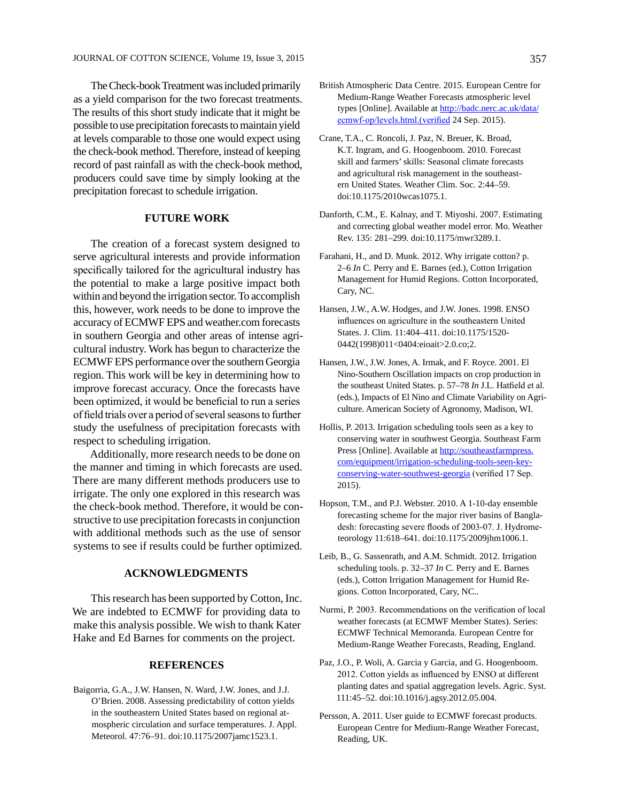The Check-book Treatment was included primarily as a yield comparison for the two forecast treatments. The results of this short study indicate that it might be possible to use precipitation forecasts to maintain yield at levels comparable to those one would expect using the check-book method. Therefore, instead of keeping record of past rainfall as with the check-book method, producers could save time by simply looking at the precipitation forecast to schedule irrigation.

## **FUTURE WORK**

The creation of a forecast system designed to serve agricultural interests and provide information specifically tailored for the agricultural industry has the potential to make a large positive impact both within and beyond the irrigation sector. To accomplish this, however, work needs to be done to improve the accuracy of ECMWF EPS and weather.com forecasts in southern Georgia and other areas of intense agricultural industry. Work has begun to characterize the ECMWF EPS performance over the southern Georgia region. This work will be key in determining how to improve forecast accuracy. Once the forecasts have been optimized, it would be beneficial to run a series of field trials over a period of several seasons to further study the usefulness of precipitation forecasts with respect to scheduling irrigation.

Additionally, more research needs to be done on the manner and timing in which forecasts are used. There are many different methods producers use to irrigate. The only one explored in this research was the check-book method. Therefore, it would be constructive to use precipitation forecasts in conjunction with additional methods such as the use of sensor systems to see if results could be further optimized.

## **ACKNOWLEDGMENTS**

This research has been supported by Cotton, Inc. We are indebted to ECMWF for providing data to make this analysis possible. We wish to thank Kater Hake and Ed Barnes for comments on the project.

#### **REFERENCES**

Baigorria, G.A., J.W. Hansen, N. Ward, J.W. Jones, and J.J. O'Brien. 2008. Assessing predictability of cotton yields in the southeastern United States based on regional atmospheric circulation and surface temperatures. J. Appl. Meteorol. 47:76–91. doi:10.1175/2007jamc1523.1.

- British Atmospheric Data Centre. 2015. European Centre for Medium-Range Weather Forecasts atmospheric level types [Online]. Available at [http://badc.nerc.ac.uk/data/](http://badc.nerc.ac.uk/data/ecmwf-op/levels.html.(verified) [ecmwf-op/levels.html.\(verified](http://badc.nerc.ac.uk/data/ecmwf-op/levels.html.(verified) 24 Sep. 2015).
- Crane, T.A., C. Roncoli, J. Paz, N. Breuer, K. Broad, K.T. Ingram, and G. Hoogenboom. 2010. Forecast skill and farmers' skills: Seasonal climate forecasts and agricultural risk management in the southeastern United States. Weather Clim. Soc. 2:44–59. doi:10.1175/2010wcas1075.1.
- Danforth, C.M., E. Kalnay, and T. Miyoshi. 2007. Estimating and correcting global weather model error. Mo. Weather Rev. 135: 281–299. doi:10.1175/mwr3289.1.
- Farahani, H., and D. Munk. 2012. Why irrigate cotton? p. 2–6 *In* C. Perry and E. Barnes (ed.), Cotton Irrigation Management for Humid Regions. Cotton Incorporated, Cary, NC.
- Hansen, J.W., A.W. Hodges, and J.W. Jones. 1998. ENSO influences on agriculture in the southeastern United States. J. Clim. 11:404–411. doi:10.1175/1520- 0442(1998)011<0404:eioait>2.0.co;2.
- Hansen, J.W., J.W. Jones, A. Irmak, and F. Royce. 2001. El Nino-Southern Oscillation impacts on crop production in the southeast United States. p. 57–78 *In* J.L. Hatfield et al. (eds.), Impacts of El Nino and Climate Variability on Agriculture. American Society of Agronomy, Madison, WI.
- Hollis, P. 2013. Irrigation scheduling tools seen as a key to conserving water in southwest Georgia. Southeast Farm Press [Online]. Available at [http://southeastfarmpress.](http://southeastfarmpress.com/equipment/irrigation-scheduling-tools-seen-key-conserving-water-southwest-georgia%20) [com/equipment/irrigation-scheduling-tools-seen-key](http://southeastfarmpress.com/equipment/irrigation-scheduling-tools-seen-key-conserving-water-southwest-georgia%20)[conserving-water-southwest-georgia](http://southeastfarmpress.com/equipment/irrigation-scheduling-tools-seen-key-conserving-water-southwest-georgia%20) (verified 17 Sep. 2015).
- Hopson, T.M., and P.J. Webster. 2010. A 1-10-day ensemble forecasting scheme for the major river basins of Bangladesh: forecasting severe floods of 2003-07. J. Hydrometeorology 11:618–641. doi:10.1175/2009jhm1006.1.
- Leib, B., G. Sassenrath, and A.M. Schmidt. 2012. Irrigation scheduling tools. p. 32–37 *In* C. Perry and E. Barnes (eds.), Cotton Irrigation Management for Humid Regions. Cotton Incorporated, Cary, NC..
- Nurmi, P. 2003. Recommendations on the verification of local weather forecasts (at ECMWF Member States). Series: ECMWF Technical Memoranda. European Centre for Medium-Range Weather Forecasts, Reading, England.
- Paz, J.O., P. Woli, A. Garcia y Garcia, and G. Hoogenboom. 2012. Cotton yields as influenced by ENSO at different planting dates and spatial aggregation levels. Agric. Syst. 111:45–52. doi:10.1016/j.agsy.2012.05.004.
- Persson, A. 2011. User guide to ECMWF forecast products. European Centre for Medium-Range Weather Forecast, Reading, UK.